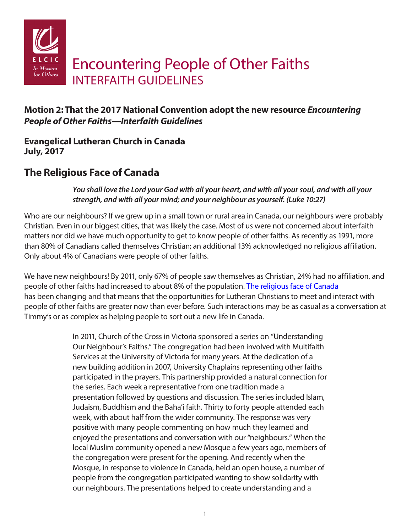

## **Motion 2: That the 2017 National Convention adopt the new resource** *Encountering People of Other Faiths—Interfaith Guidelines*

**Evangelical Lutheran Church in Canada July, 2017**

# **The Religious Face of Canada**

*You shall love the Lord your God with all your heart, and with all your soul, and with all your strength, and with all your mind; and your neighbour as yourself. (Luke 10:27)*

Who are our neighbours? If we grew up in a small town or rural area in Canada, our neighbours were probably Christian. Even in our biggest cities, that was likely the case. Most of us were not concerned about interfaith matters nor did we have much opportunity to get to know people of other faiths. As recently as 1991, more than 80% of Canadians called themselves Christian; an additional 13% acknowledged no religious affiliation. Only about 4% of Canadians were people of other faiths.

We have new neighbours! By 2011, only 67% of people saw themselves as Christian, 24% had no affiliation, and people of other faiths had increased to about 8% of the population. [The religious face of Canada](https://en.wikipedia.org/wiki/Religion_in_Canada) has been changing and that means that the opportunities for Lutheran Christians to meet and interact with people of other faiths are greater now than ever before. Such interactions may be as casual as a conversation at Timmy's or as complex as helping people to sort out a new life in Canada.

> In 2011, Church of the Cross in Victoria sponsored a series on "Understanding Our Neighbour's Faiths." The congregation had been involved with Multifaith Services at the University of Victoria for many years. At the dedication of a new building addition in 2007, University Chaplains representing other faiths participated in the prayers. This partnership provided a natural connection for the series. Each week a representative from one tradition made a presentation followed by questions and discussion. The series included Islam, Judaism, Buddhism and the Baha'i faith. Thirty to forty people attended each week, with about half from the wider community. The response was very positive with many people commenting on how much they learned and enjoyed the presentations and conversation with our "neighbours." When the local Muslim community opened a new Mosque a few years ago, members of the congregation were present for the opening. And recently when the Mosque, in response to violence in Canada, held an open house, a number of people from the congregation participated wanting to show solidarity with our neighbours. The presentations helped to create understanding and a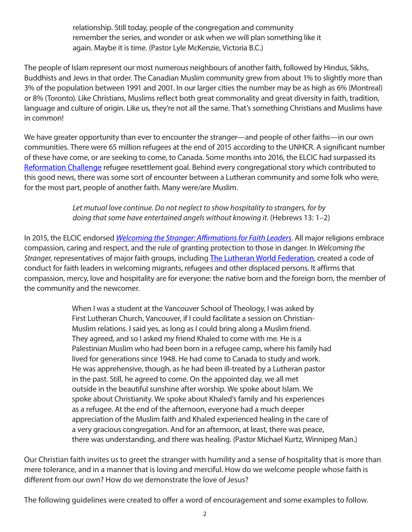relationship. Still today, people of the congregation and community remember the series, and wonder or ask when we will plan something like it again. Maybe it is time. (Pastor Lyle McKenzie, Victoria B.C.)

The people of Islam represent our most numerous neighbours of another faith, followed by Hindus, Sikhs, Buddhists and Jews in that order. The Canadian Muslim community grew from about 1% to slightly more than 3% of the population between 1991 and 2001. In our larger cities the number may be as high as 6% (Montreal) or 8% (Toronto). Like Christians, Muslims reflect both great commonality and great diversity in faith, tradition, language and culture of origin. Like us, they're not all the same. That's something Christians and Muslims have in common!

We have greater opportunity than ever to encounter the stranger—and people of other faiths—in our own communities. There were 65 million refugees at the end of 2015 according to the UNHCR. A significant number of these have come, or are seeking to come, to Canada. Some months into 2016, the ELCIC had surpassed its [Reformation Challenge](http://www.elcic.ca/ReformationChallenge/) refugee resettlement goal. Behind every congregational story which contributed to this good news, there was some sort of encounter between a Lutheran community and some folk who were, for the most part, people of another faith. Many were/are Muslim.

> *Let mutual love continue. Do not neglect to show hospitality to strangers, for by doing that some have entertained angels without knowing it.* (Hebrews 13: 1–2)

In 2015, the ELCIC endorsed *[Welcoming the Stranger: Affirmations for Faith Leaders](file:///C:\Users\Paul%20Gehrs\Documents\muslim%20statement\april%207%20revisions\www.lutheranworld.org\content\resource-welcoming-stranger)*. All major religions embrace compassion, caring and respect, and the rule of granting protection to those in danger. In *Welcoming the Stranger*, representatives of major faith groups, including The [Lutheran World Federation,](https://www.lutheranworld.org/) created a code of conduct for faith leaders in welcoming migrants, refugees and other displaced persons. It affirms that compassion, mercy, love and hospitality are for everyone: the native born and the foreign born, the member of the community and the newcomer.

> When I was a student at the Vancouver School of Theology, I was asked by First Lutheran Church, Vancouver, if I could facilitate a session on Christian-Muslim relations. I said yes, as long as I could bring along a Muslim friend. They agreed, and so I asked my friend Khaled to come with me. He is a Palestinian Muslim who had been born in a refugee camp, where his family had lived for generations since 1948. He had come to Canada to study and work. He was apprehensive, though, as he had been ill-treated by a Lutheran pastor in the past. Still, he agreed to come. On the appointed day, we all met outside in the beautiful sunshine after worship. We spoke about Islam. We spoke about Christianity. We spoke about Khaled's family and his experiences as a refugee. At the end of the afternoon, everyone had a much deeper appreciation of the Muslim faith and Khaled experienced healing in the care of a very gracious congregation. And for an afternoon, at least, there was peace, there was understanding, and there was healing. (Pastor Michael Kurtz, Winnipeg Man.)

Our Christian faith invites us to greet the stranger with humility and a sense of hospitality that is more than mere tolerance, and in a manner that is loving and merciful. How do we welcome people whose faith is different from our own? How do we demonstrate the love of Jesus?

The following guidelines were created to offer a word of encouragement and some examples to follow.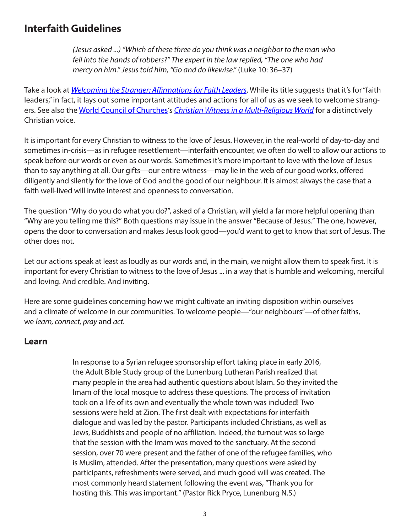# **Interfaith Guidelines**

*(Jesus asked ...) "Which of these three do you think was a neighbor to the man who fell into the hands of robbers?" The expert in the law replied, "The one who had mercy on him." Jesus told him, "Go and do likewise."* (Luke 10: 36–37)

Take a look at *[Welcoming the Stranger; Affirmations for Faith Leaders](https://www.lutheranworld.org/content/resource-welcoming-stranger)*. While its title suggests that it's for "faith leaders," in fact, it lays out some important attitudes and actions for all of us as we seek to welcome strangers. See also the [World Council of Churches'](https://www.oikoumene.org/en/)s *[Christian Witness in a Multi-Religious World](file:///C:\Users\Paul%20Gehrs\Documents\muslim%20statement\april%207%20revisions\www.oikoumene.org\en\resources\documents\wcc-programmes\interreligious-dialogue-and-cooperation\christian-identity-in-pluralist)* for a distinctively Christian voice.

It is important for every Christian to witness to the love of Jesus. However, in the real-world of day-to-day and sometimes in-crisis—as in refugee resettlement—interfaith encounter, we often do well to allow our actions to speak before our words or even as our words. Sometimes it's more important to love with the love of Jesus than to say anything at all. Our gifts—our entire witness—may lie in the web of our good works, offered diligently and silently for the love of God and the good of our neighbour. It is almost always the case that a faith well-lived will invite interest and openness to conversation.

The question "Why do you do what you do?", asked of a Christian, will yield a far more helpful opening than "Why are you telling me this?" Both questions may issue in the answer "Because of Jesus." The one, however, opens the door to conversation and makes Jesus look good—you'd want to get to know that sort of Jesus. The other does not.

Let our actions speak at least as loudly as our words and, in the main, we might allow them to speak first. It is important for every Christian to witness to the love of Jesus ... in a way that is humble and welcoming, merciful and loving. And credible. And inviting.

Here are some guidelines concerning how we might cultivate an inviting disposition within ourselves and a climate of welcome in our communities. To welcome people—"our neighbours"—of other faiths, we *learn, connect, pray* and *act*.

#### **Learn**

In response to a Syrian refugee sponsorship effort taking place in early 2016, the Adult Bible Study group of the Lunenburg Lutheran Parish realized that many people in the area had authentic questions about Islam. So they invited the Imam of the local mosque to address these questions. The process of invitation took on a life of its own and eventually the whole town was included! Two sessions were held at Zion. The first dealt with expectations for interfaith dialogue and was led by the pastor. Participants included Christians, as well as Jews, Buddhists and people of no affiliation. Indeed, the turnout was so large that the session with the Imam was moved to the sanctuary. At the second session, over 70 were present and the father of one of the refugee families, who is Muslim, attended. After the presentation, many questions were asked by participants, refreshments were served, and much good will was created. The most commonly heard statement following the event was, "Thank you for hosting this. This was important." (Pastor Rick Pryce, Lunenburg N.S.)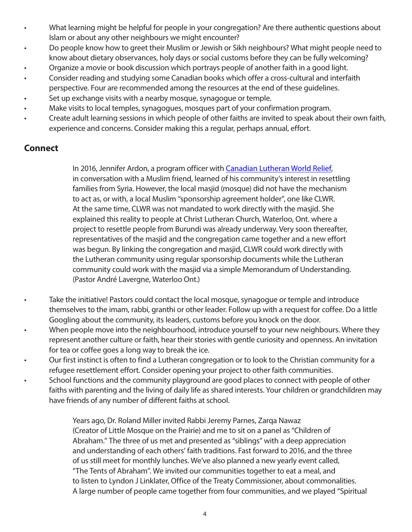- What learning might be helpful for people in your congregation? Are there authentic questions about Islam or about any other neighbours we might encounter?
- Do people know how to greet their Muslim or Jewish or Sikh neighbours? What might people need to know about dietary observances, holy days or social customs before they can be fully welcoming?
- Organize a movie or book discussion which portrays people of another faith in a good light.
- Consider reading and studying some Canadian books which offer a cross-cultural and interfaith
- perspective. Four are recommended among the resources at the end of these guidelines.
- Set up exchange visits with a nearby mosque, synagogue or temple.
- Make visits to local temples, synagogues, mosques part of your confirmation program.
- Create adult learning sessions in which people of other faiths are invited to speak about their own faith, experience and concerns. Consider making this a regular, perhaps annual, effort.

#### **Connect**

In 2016, Jennifer Ardon, a program officer with [Canadian Lutheran World Relief](http://www.clwr.org/), in conversation with a Muslim friend, learned of his community's interest in resettling families from Syria. However, the local masjid (mosque) did not have the mechanism to act as, or with, a local Muslim "sponsorship agreement holder", one like CLWR. At the same time, CLWR was not mandated to work directly with the masjid. She explained this reality to people at Christ Lutheran Church, Waterloo, Ont. where a project to resettle people from Burundi was already underway. Very soon thereafter, representatives of the masjid and the congregation came together and a new effort was begun. By linking the congregation and masjid, CLWR could work directly with the Lutheran community using regular sponsorship documents while the Lutheran community could work with the masjid via a simple Memorandum of Understanding. (Pastor André Lavergne, Waterloo Ont.)

- Take the initiative! Pastors could contact the local mosque, synagogue or temple and introduce themselves to the imam, rabbi, granthi or other leader. Follow up with a request for coffee. Do a little Googling about the community, its leaders, customs before you knock on the door.
- When people move into the neighbourhood, introduce yourself to your new neighbours. Where they represent another culture or faith, hear their stories with gentle curiosity and openness. An invitation for tea or coffee goes a long way to break the ice.
- Our first instinct is often to find a Lutheran congregation or to look to the Christian community for a refugee resettlement effort. Consider opening your project to other faith communities.
- School functions and the community playground are good places to connect with people of other faiths with parenting and the living of daily life as shared interests. Your children or grandchildren may have friends of any number of different faiths at school.

Years ago, Dr. Roland Miller invited Rabbi Jeremy Parnes, Zarqa Nawaz (Creator of Little Mosque on the Prairie) and me to sit on a panel as "Children of Abraham." The three of us met and presented as "siblings" with a deep appreciation and understanding of each others' faith traditions. Fast forward to 2016, and the three of us still meet for monthly lunches. We've also planned a new yearly event called, "The Tents of Abraham". We invited our communities together to eat a meal, and to listen to Lyndon J Linklater, Office of the Treaty Commissioner, about commonalities. A large number of people came together from four communities, and we played "Spiritual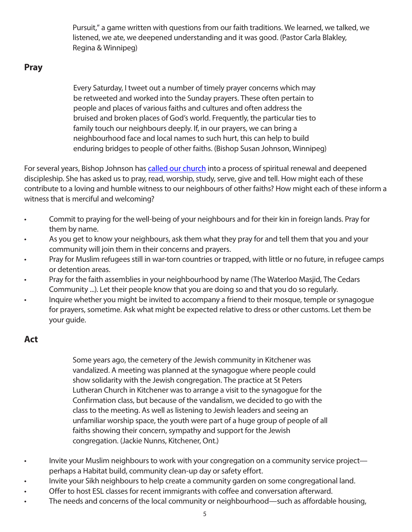Pursuit," a game written with questions from our faith traditions. We learned, we talked, we listened, we ate, we deepened understanding and it was good. (Pastor Carla Blakley, Regina & Winnipeg)

#### **Pray**

Every Saturday, I tweet out a number of timely prayer concerns which may be retweeted and worked into the Sunday prayers. These often pertain to people and places of various faiths and cultures and often address the bruised and broken places of God's world. Frequently, the particular ties to family touch our neighbours deeply. If, in our prayers, we can bring a neighbourhood face and local names to such hurt, this can help to build enduring bridges to people of other faiths. (Bishop Susan Johnson, Winnipeg)

For several years, Bishop Johnson has [called our church](http://www.elcic.ca/CSR/default.cfm) into a process of spiritual renewal and deepened discipleship. She has asked us to pray, read, worship, study, serve, give and tell. How might each of these contribute to a loving and humble witness to our neighbours of other faiths? How might each of these inform a witness that is merciful and welcoming?

- Commit to praying for the well-being of your neighbours and for their kin in foreign lands. Pray for them by name.
- As you get to know your neighbours, ask them what they pray for and tell them that you and your community will join them in their concerns and prayers.
- Pray for Muslim refugees still in war-torn countries or trapped, with little or no future, in refugee camps or detention areas.
- Pray for the faith assemblies in your neighbourhood by name (The Waterloo Masjid, The Cedars Community ...). Let their people know that you are doing so and that you do so regularly.
- Inquire whether you might be invited to accompany a friend to their mosque, temple or synagogue for prayers, sometime. Ask what might be expected relative to dress or other customs. Let them be your guide.

### **Act**

Some years ago, the cemetery of the Jewish community in Kitchener was vandalized. A meeting was planned at the synagogue where people could show solidarity with the Jewish congregation. The practice at St Peters Lutheran Church in Kitchener was to arrange a visit to the synagogue for the Confirmation class, but because of the vandalism, we decided to go with the class to the meeting. As well as listening to Jewish leaders and seeing an unfamiliar worship space, the youth were part of a huge group of people of all faiths showing their concern, sympathy and support for the Jewish congregation. (Jackie Nunns, Kitchener, Ont.)

- Invite your Muslim neighbours to work with your congregation on a community service project perhaps a Habitat build, community clean-up day or safety effort.
- Invite your Sikh neighbours to help create a community garden on some congregational land.
- Offer to host ESL classes for recent immigrants with coffee and conversation afterward.
- The needs and concerns of the local community or neighbourhood—such as affordable housing,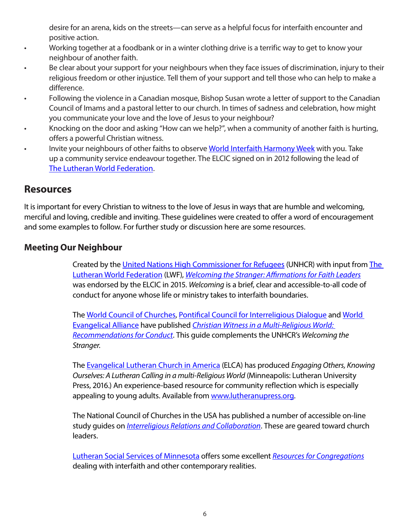desire for an arena, kids on the streets—can serve as a helpful focus for interfaith encounter and positive action.

- Working together at a foodbank or in a winter clothing drive is a terrific way to get to know your neighbour of another faith.
- Be clear about your support for your neighbours when they face issues of discrimination, injury to their religious freedom or other injustice. Tell them of your support and tell those who can help to make a difference.
- Following the violence in a Canadian mosque, Bishop Susan wrote a letter of support to the Canadian Council of Imams and a pastoral letter to our church. In times of sadness and celebration, how might you communicate your love and the love of Jesus to your neighbour?
- Knocking on the door and asking "How can we help?", when a community of another faith is hurting, offers a powerful Christian witness.
- Invite your neighbours of other faiths to observe [World Interfaith Harmony Week](file:///C:\Users\Paul%20Gehrs\Documents\muslim%20statement\april%207%20revisions\www.worldinterfaithharmonyweek.com) with you. Take up a community service endeavour together. The ELCIC signed on in 2012 following the lead of The [Lutheran World Federation.](file:///C:\Users\Paul%20Gehrs\Documents\muslim%20statement\april%207%20revisions\www.lutheranworld.org)

## **Resources**

It is important for every Christian to witness to the love of Jesus in ways that are humble and welcoming, merciful and loving, credible and inviting. These guidelines were created to offer a word of encouragement and some examples to follow. For further study or discussion here are some resources.

#### **Meeting Our Neighbour**

Created by the [United Nations High Commissioner for Refugees](file:///C:\Users\Paul%20Gehrs\Documents\muslim%20statement\april%207%20revisions\www.unhcr.org\) (UNHCR) with input from The [Lutheran World Federation](file:///C:\Users\Paul%20Gehrs\Documents\muslim%20statement\april%207%20revisions\www.lutheranworld.org\) (LWF), *[Welcoming the Stranger: Affirmations for Faith Leaders](https://www.lutheranworld.org/content/resource-welcoming-stranger)* was endorsed by the ELCIC in 2015. *Welcoming* is a brief, clear and accessible-to-all code of conduct for anyone whose life or ministry takes to interfaith boundaries.

The [World Council of Churches,](file:///C:\Users\Paul%20Gehrs\Documents\muslim%20statement\april%207%20revisions\www.oikoumene.org\en\) [Pontifical Council for Interreligious Dialogue](file:///C:\Users\Paul%20Gehrs\Documents\muslim%20statement\april%207%20revisions\www.vatican.va\roman_curia\pontifical_councils\interelg\index.htm) and [World](file:///C:\Users\Paul%20Gehrs\Documents\muslim%20statement\april%207%20revisions\www.worldea.org\)  [Evangelical Alliance](file:///C:\Users\Paul%20Gehrs\Documents\muslim%20statement\april%207%20revisions\www.worldea.org\) have published *[Christian Witness in a Multi-Religious World:](http://www.oikoumene.org/en/resources/documents/wcc-programmes/interreligious-dialogue-and-cooperation/christian-identity-in-pl)  [Recommendations for Conduct](http://www.oikoumene.org/en/resources/documents/wcc-programmes/interreligious-dialogue-and-cooperation/christian-identity-in-pl)*. This guide complements the UNHCR's *Welcoming the Stranger*.

The [Evangelical Lutheran Church in America](file:///C:\Users\Paul%20Gehrs\Documents\muslim%20statement\april%207%20revisions\www.elca.org) (ELCA) has produced *Engaging Others, Knowing Ourselves: A Lutheran Calling in a multi-Religious World* (Minneapolis: Lutheran University Press, 2016.) An experience-based resource for community reflection which is especially appealing to young adults. Available from [www.lutheranupress.org](file:///C:\Users\Paul%20Gehrs\Documents\muslim%20statement\april%207%20revisions\www.lutheranupress.org).

The National Council of Churches in the USA has published a number of accessible on-line study guides on *[Interreligious Relations and Collaboration](C:\Users\Paul Gehrs\Documents\muslim statement\april 7 revisions\www.nationalcouncilofchurches.us\ interreligious-relations-and-collaboration\)*. These are geared toward church leaders.

[Lutheran Social Services of Minnesota](http://www.lssmn.org/) offers some excellent *[Resources for Congregations](http://www.lssmn.org/congregations/resources/)* dealing with interfaith and other contemporary realities.